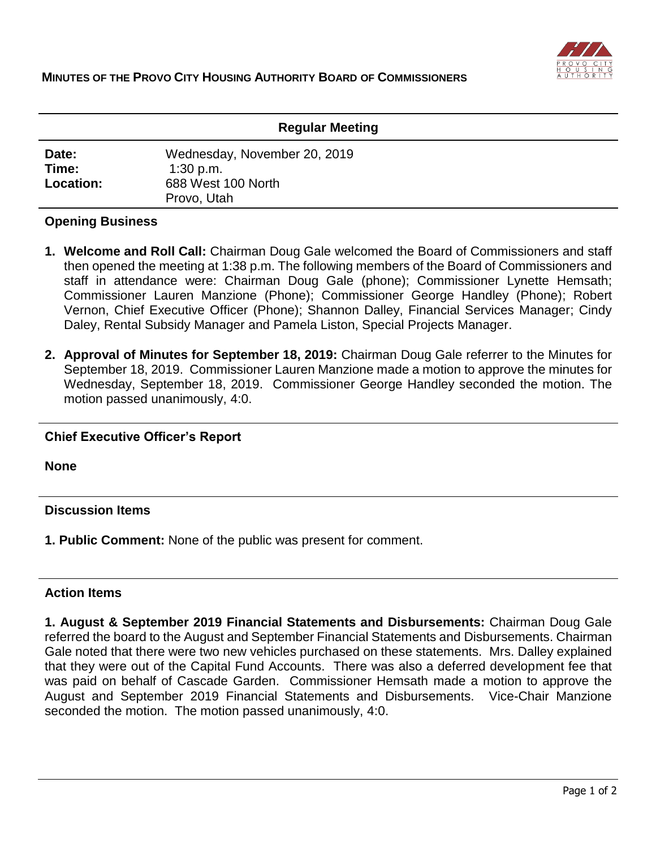

| <b>Regular Meeting</b>      |                                                                                  |
|-----------------------------|----------------------------------------------------------------------------------|
| Date:<br>Time:<br>Location: | Wednesday, November 20, 2019<br>$1:30$ p.m.<br>688 West 100 North<br>Provo, Utah |

# **Opening Business**

- **1. Welcome and Roll Call:** Chairman Doug Gale welcomed the Board of Commissioners and staff then opened the meeting at 1:38 p.m. The following members of the Board of Commissioners and staff in attendance were: Chairman Doug Gale (phone); Commissioner Lynette Hemsath; Commissioner Lauren Manzione (Phone); Commissioner George Handley (Phone); Robert Vernon, Chief Executive Officer (Phone); Shannon Dalley, Financial Services Manager; Cindy Daley, Rental Subsidy Manager and Pamela Liston, Special Projects Manager.
- **2. Approval of Minutes for September 18, 2019:** Chairman Doug Gale referrer to the Minutes for September 18, 2019. Commissioner Lauren Manzione made a motion to approve the minutes for Wednesday, September 18, 2019. Commissioner George Handley seconded the motion. The motion passed unanimously, 4:0.

# **Chief Executive Officer's Report**

**None**

### **Discussion Items**

**1. Public Comment:** None of the public was present for comment.

### **Action Items**

**1. August & September 2019 Financial Statements and Disbursements:** Chairman Doug Gale referred the board to the August and September Financial Statements and Disbursements. Chairman Gale noted that there were two new vehicles purchased on these statements. Mrs. Dalley explained that they were out of the Capital Fund Accounts. There was also a deferred development fee that was paid on behalf of Cascade Garden. Commissioner Hemsath made a motion to approve the August and September 2019 Financial Statements and Disbursements. Vice-Chair Manzione seconded the motion. The motion passed unanimously, 4:0.